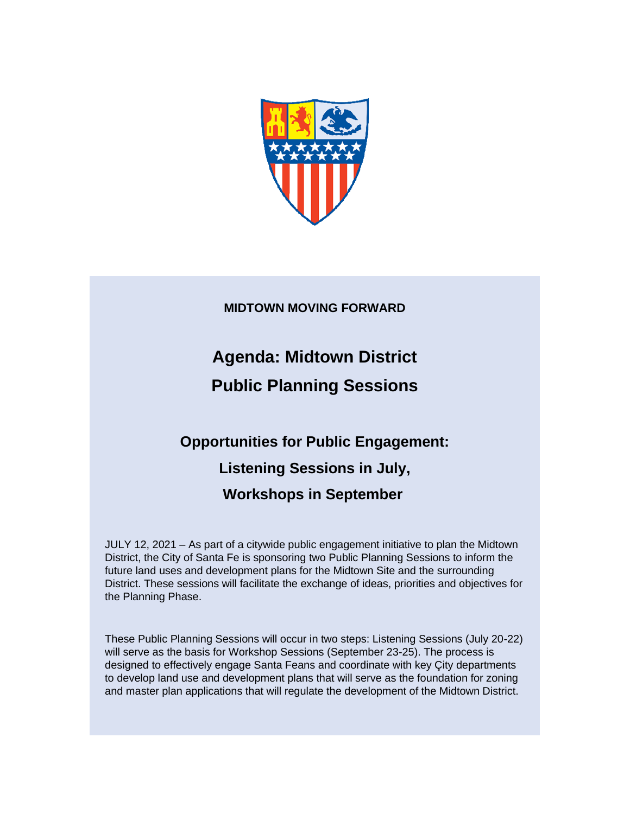

**MIDTOWN MOVING FORWARD**

**Agenda: Midtown District Public Planning Sessions** 

# **Opportunities for Public Engagement: Listening Sessions in July, Workshops in September**

JULY 12, 2021 – As part of a citywide public engagement initiative to plan the Midtown District, the City of Santa Fe is sponsoring two Public Planning Sessions to inform the future land uses and development plans for the Midtown Site and the surrounding District. These sessions will facilitate the exchange of ideas, priorities and objectives for the Planning Phase.

These Public Planning Sessions will occur in two steps: Listening Sessions (July 20-22) will serve as the basis for Workshop Sessions (September 23-25). The process is designed to effectively engage Santa Feans and coordinate with key Çity departments to develop land use and development plans that will serve as the foundation for zoning and master plan applications that will regulate the development of the Midtown District.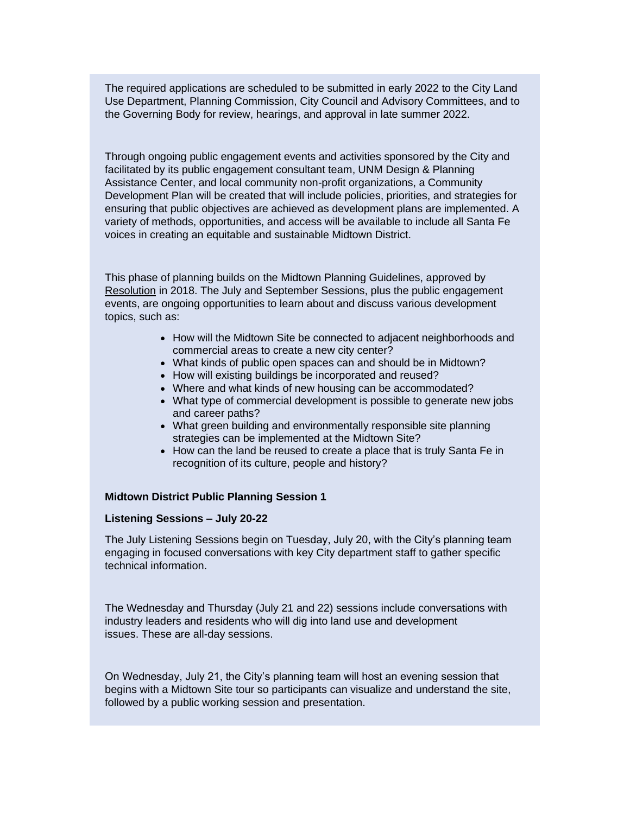The required applications are scheduled to be submitted in early 2022 to the City Land Use Department, Planning Commission, City Council and Advisory Committees, and to the Governing Body for review, hearings, and approval in late summer 2022.

Through ongoing public engagement events and activities sponsored by the City and facilitated by its public engagement consultant team, UNM Design & Planning Assistance Center, and local community non-profit organizations, a Community Development Plan will be created that will include policies, priorities, and strategies for ensuring that public objectives are achieved as development plans are implemented. A variety of methods, opportunities, and access will be available to include all Santa Fe voices in creating an equitable and sustainable Midtown District.

This phase of planning builds on the Midtown Planning Guidelines, approved by [Resolution](https://r20.rs6.net/tn.jsp?f=001MjfH1saDlZ8Z8QM07FsL2qpoxOdySSdEc8W1ckj0TqGynh-4-U6K4DCirHATIvKW-WVDmLNI_vN0MG13AODw0-QsiTm-ZoyrTI1HPZt_pFeorCXyzRBDWbrzhBx1dn2oFC0pJzEmfWs3aXHIxjj6WPyKbISrobzeGYi4PGX6Ws48CbpWJdeJnbzqt9S_kQWd&c=yd3D2ke2yjbl_zUmVtuFJNZtoGrGNKp4GgPGY0jLrOSfjhA88Al3ug==&ch=xGPTKlpXD3_AoBVwsE16AGR696Enjim1SUvox4KijqvQn3J0jL7Wow==) in 2018. The July and September Sessions, plus the public engagement events, are ongoing opportunities to learn about and discuss various development topics, such as:

- How will the Midtown Site be connected to adjacent neighborhoods and commercial areas to create a new city center?
- What kinds of public open spaces can and should be in Midtown?
- How will existing buildings be incorporated and reused?
- Where and what kinds of new housing can be accommodated?
- What type of commercial development is possible to generate new jobs and career paths?
- What green building and environmentally responsible site planning strategies can be implemented at the Midtown Site?
- How can the land be reused to create a place that is truly Santa Fe in recognition of its culture, people and history?

## **Midtown District Public Planning Session 1**

#### **Listening Sessions – July 20-22**

The July Listening Sessions begin on Tuesday, July 20, with the City's planning team engaging in focused conversations with key City department staff to gather specific technical information.

The Wednesday and Thursday (July 21 and 22) sessions include conversations with industry leaders and residents who will dig into land use and development issues. These are all-day sessions.

On Wednesday, July 21, the City's planning team will host an evening session that begins with a Midtown Site tour so participants can visualize and understand the site, followed by a public working session and presentation.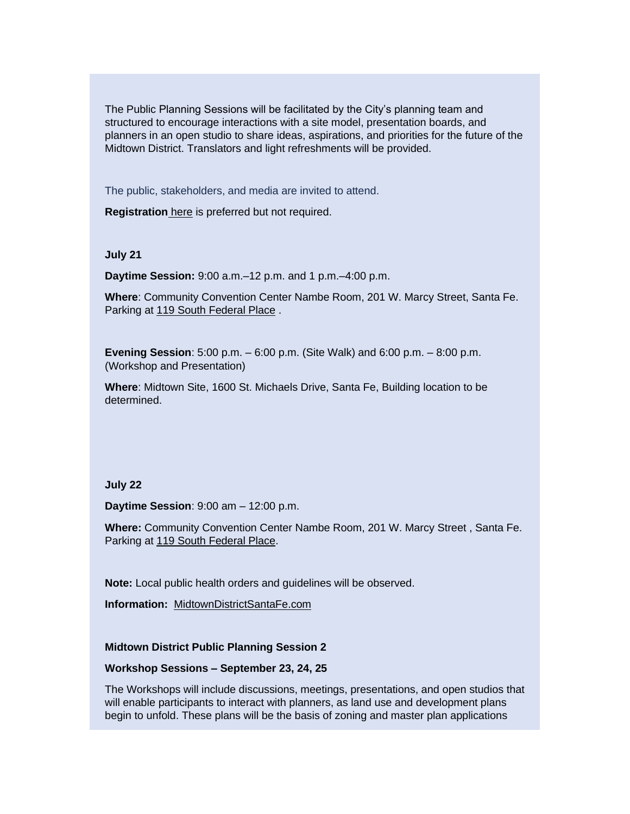The Public Planning Sessions will be facilitated by the City's planning team and structured to encourage interactions with a site model, presentation boards, and planners in an open studio to share ideas, aspirations, and priorities for the future of the Midtown District. Translators and light refreshments will be provided.

The public, stakeholders, and media are invited to attend.

**Registration** [here](https://r20.rs6.net/tn.jsp?f=001MjfH1saDlZ8Z8QM07FsL2qpoxOdySSdEc8W1ckj0TqGynh-4-U6K4DCirHATIvKWTHAs1rld0CkepJaiR0Ch6YEKltk8C-SYctWtCL44n4RKSZ4A33GxfzfXBJEqpEL2NMTnOCvXx-ANrKDk5VGDYMQ_v8un16vuJa3WQ7IGyS3vcUZky__27PI5onGKoL62ScmCWSpspT5wF9nz97Bve2msq-qLSE68Q3sAWRf32uqUvpX5FhJOkzYwXcQb89h0&c=yd3D2ke2yjbl_zUmVtuFJNZtoGrGNKp4GgPGY0jLrOSfjhA88Al3ug==&ch=xGPTKlpXD3_AoBVwsE16AGR696Enjim1SUvox4KijqvQn3J0jL7Wow==) is preferred but not required.

#### **July 21**

**Daytime Session:** 9:00 a.m.–12 p.m. and 1 p.m.–4:00 p.m.

**Where**: Community Convention Center Nambe Room, 201 W. Marcy Street, Santa Fe. Parking at [119 South Federal Place](https://r20.rs6.net/tn.jsp?f=001MjfH1saDlZ8Z8QM07FsL2qpoxOdySSdEc8W1ckj0TqGynh-4-U6K4DCirHATIvKWxyYb8w5VmNkrk2w7G5o-QRXfWODd10oXecIXAW72LLJjroPpHh2NaZlnjveOEsDqd4gzjrJqcLP6lRzb04_B939t_TQ-W4ZiFepUy1Iy02By1w7ZS8fvMAT-WikcvT7Dl3aFieX47c3euDu_40CK6gdEjyDJn8A-JDSptOmoXZYxWZlhxghGUWh2fXIKYG1nmKGA2QAC08pOWYcrT6n3caAteqmnjKsZNVhq_6T5QGHghICCEgI5qPJWR7-vAEU3i0-kYw1XZFelVimHlRb7JXfWInGKWf5yFnti0CZQSBLPcJrpktc1tsuyQjDB17Sc9eEVokwVCgYtPhCCOd4pG9TRgeOQzUit-HUIt__n6Qc8PjRkdQWg7nWk7T7xZpf-54qnFjOK8j4Af1DgbQ_8v7hfoafQgLHXjP4sru93EVrFK9OfPOKjLbD12zFPeqGWg8ghHc-yaYlwGSTDDNQNbTQeCCTSFG_hixJ3QcAKGfa6L7No67McYvi5B_pohRaWVKfokDCLN5B3S_veH-lLTCkzt-7FoaoycobUFuHquAmoPDhZ0vAcsVkaIVK2v_KMPXkZKgpQQdKbEq9IwdUQsqtRtl3Dp3vaf9YReSv-w8WQGFvlIbKk0WwqNnjz8Oh6dTM9WD1GMaqQVDKfbQCYKqx2iJ6ZLIqa401-4R4Q5Do4-8AHkli5LaEdqTGaFILiB73sHdTrDY93YGDfQ5Qx43iB1o80R9KpySTxjbTSV-fbHCfh2_uxHKjYlNz5-6t0ffRtICSl1BhykIB1ErChnH9I9S_HwX20W4DrfjQn2RcbMVbeVwD-LPmGQUIcY8KuCbZfeOlQNfuRFkATIkAUO4A-HO1yFmeV9UzYJpJs59Zd2TjQvJdmTv2LzvnZD6nxyV4B92_K6zBb6DraxfbOR_DAk93WoLPXcTTE9LGko7VA17eVzHTdfpO24Zz7IlIw40X-g-85T7_nggokWuUQCJTxPV5NEMI-voeZl7sz8w8Dbq3N_6lcOKUO5RJl7nlzZPUaLXGTIbLDRZvc4pFk1uA3wbZ-N5UgL1VQjltrIqafwVxQMrlv4FwOPsG_6K7cNPCOYi3RIR210J5Lbys1d33rPvlS_KDFRQjcGduPRj6D_auc-2d5_hSpsXSpwLWUTgObTjy-9wo-CxlSa7B7MyS934COiME2uU8vV6P_y6N2ZThwqxbdjQyVKfpuAwpZNA8ROKcSB1MdWk142q0sOIg5GULnIO4H92RPZK6o7SMazZd4X4zB0Imf65tkn16Dv2T9zMCtA877OyrJpoWRw0nC2Hr1EMBf&c=yd3D2ke2yjbl_zUmVtuFJNZtoGrGNKp4GgPGY0jLrOSfjhA88Al3ug==&ch=xGPTKlpXD3_AoBVwsE16AGR696Enjim1SUvox4KijqvQn3J0jL7Wow==) .

**Evening Session**: 5:00 p.m. – 6:00 p.m. (Site Walk) and 6:00 p.m. – 8:00 p.m. (Workshop and Presentation)

**Where**: Midtown Site, 1600 St. Michaels Drive, Santa Fe, Building location to be determined.

#### **July 22**

**Daytime Session**: 9:00 am – 12:00 p.m.

**Where:** Community Convention Center Nambe Room, 201 W. Marcy Street , Santa Fe. Parking at [119 South Federal Place.](https://r20.rs6.net/tn.jsp?f=001MjfH1saDlZ8Z8QM07FsL2qpoxOdySSdEc8W1ckj0TqGynh-4-U6K4DCirHATIvKWxyYb8w5VmNkrk2w7G5o-QRXfWODd10oXecIXAW72LLJjroPpHh2NaZlnjveOEsDqd4gzjrJqcLP6lRzb04_B939t_TQ-W4ZiFepUy1Iy02By1w7ZS8fvMAT-WikcvT7Dl3aFieX47c3euDu_40CK6gdEjyDJn8A-JDSptOmoXZYxWZlhxghGUWh2fXIKYG1nmKGA2QAC08pOWYcrT6n3caAteqmnjKsZNVhq_6T5QGHghICCEgI5qPJWR7-vAEU3i0-kYw1XZFelVimHlRb7JXfWInGKWf5yFnti0CZQSBLPcJrpktc1tsuyQjDB17Sc9eEVokwVCgYtPhCCOd4pG9TRgeOQzUit-HUIt__n6Qc8PjRkdQWg7nWk7T7xZpf-54qnFjOK8j4Af1DgbQ_8v7hfoafQgLHXjP4sru93EVrFK9OfPOKjLbD12zFPeqGWg8ghHc-yaYlwGSTDDNQNbTQeCCTSFG_hixJ3QcAKGfa6L7No67McYvi5B_pohRaWVKfokDCLN5B3S_veH-lLTCkzt-7FoaoycobUFuHquAmoPDhZ0vAcsVkaIVK2v_KMPXkZKgpQQdKbEq9IwdUQsqtRtl3Dp3vaf9YReSv-w8WQGFvlIbKk0WwqNnjz8Oh6dTM9WD1GMaqQVDKfbQCYKqx2iJ6ZLIqa401-4R4Q5Do4-8AHkli5LaEdqTGaFILiB73sHdTrDY93YGDfQ5Qx43iB1o80R9KpySTxjbTSV-fbHCfh2_uxHKjYlNz5-6t0ffRtICSl1BhykIB1ErChnH9I9S_HwX20W4DrfjQn2RcbMVbeVwD-LPmGQUIcY8KuCbZfeOlQNfuRFkATIkAUO4A-HO1yFmeV9UzYJpJs59Zd2TjQvJdmTv2LzvnZD6nxyV4B92_K6zBb6DraxfbOR_DAk93WoLPXcTTE9LGko7VA17eVzHTdfpO24Zz7IlIw40X-g-85T7_nggokWuUQCJTxPV5NEMI-voeZl7sz8w8Dbq3N_6lcOKUO5RJl7nlzZPUaLXGTIbLDRZvc4pFk1uA3wbZ-N5UgL1VQjltrIqafwVxQMrlv4FwOPsG_6K7cNPCOYi3RIR210J5Lbys1d33rPvlS_KDFRQjcGduPRj6D_auc-2d5_hSpsXSpwLWUTgObTjy-9wo-CxlSa7B7MyS934COiME2uU8vV6P_y6N2ZThwqxbdjQyVKfpuAwpZNA8ROKcSB1MdWk142q0sOIg5GULnIO4H92RPZK6o7SMazZd4X4zB0Imf65tkn16Dv2T9zMCtA877OyrJpoWRw0nC2Hr1EMBf&c=yd3D2ke2yjbl_zUmVtuFJNZtoGrGNKp4GgPGY0jLrOSfjhA88Al3ug==&ch=xGPTKlpXD3_AoBVwsE16AGR696Enjim1SUvox4KijqvQn3J0jL7Wow==)

**Note:** Local public health orders and guidelines will be observed.

**Information:** [MidtownDistrictSantaFe.com](https://r20.rs6.net/tn.jsp?f=001MjfH1saDlZ8Z8QM07FsL2qpoxOdySSdEc8W1ckj0TqGynh-4-U6K4DCirHATIvKWvvrsjfdN4sC8S9GSHJvbBpdBZZu1NvtU6RyXTO8Ohz2W36u0puiZiAyYAgf5sjnkxIlvuHv2ZWLtf9ZS1qHqSJTmfGm8msFNKG3KR9b1TugihuIBhWVNOzdZodQfrAD2jE8Cl6E0TPomC4YYv7cIigiJn3LIynfpWKMNDeHQDW8-ORHqCU8Rwd8qXe5owpfbokp-muicDHosP1FsEYlDB7IRxgzc_GM7XI-HIKgUFtSOzBF4R8YZdmCKVBrxwE1cEF989VIdnLzMPW-AAAO7iu7UjkXwsFbLEYkk8rM2GdndsUmEmd-VhozN9_HFLdyc1LRdC_BYHB95Pe7IvP9AW21Hls7tmISJ4iiHCRp5gSBD5mol8E6IXjCWW6MXfqKrJYQLoVNrUSl1KQEBABeuRQ1QrozceoH5DGu_PFVlDaKLz-PfG0VeRNq0umtvrQj1Y7vd25ugMPMWSEaexRZfM-qS1opPD18cwzepPeUZKrefg7gudWKkjNr49OfK-Mpwy1qhYdJgfgLjpigQf2QRlenyUraUekOoZO2ZHgU62qVpqdxHFC_8lk5ppuGf9kjQXkS4OsxA1tQDh5eWdLOsMIGWD1cgBnQPqflkyj8LtGjvV4zdklkzJhgLRldr6FZ7ZUkK6ZYkn3hAXwT2dscxig==&c=yd3D2ke2yjbl_zUmVtuFJNZtoGrGNKp4GgPGY0jLrOSfjhA88Al3ug==&ch=xGPTKlpXD3_AoBVwsE16AGR696Enjim1SUvox4KijqvQn3J0jL7Wow==) 

### **Midtown District Public Planning Session 2**

### **Workshop Sessions – September 23, 24, 25**

The Workshops will include discussions, meetings, presentations, and open studios that will enable participants to interact with planners, as land use and development plans begin to unfold. These plans will be the basis of zoning and master plan applications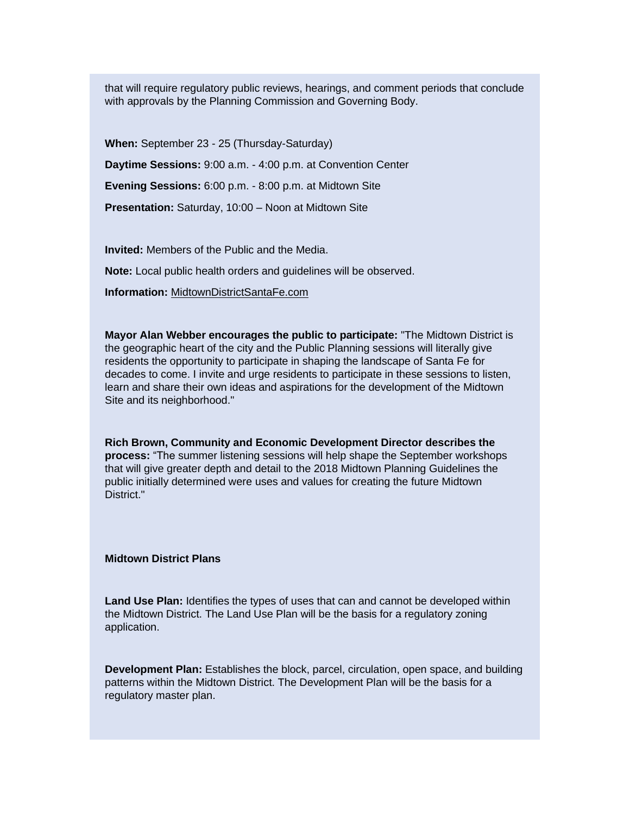that will require regulatory public reviews, hearings, and comment periods that conclude with approvals by the Planning Commission and Governing Body.

**When:** September 23 - 25 (Thursday-Saturday) **Daytime Sessions:** 9:00 a.m. - 4:00 p.m. at Convention Center **Evening Sessions:** 6:00 p.m. - 8:00 p.m. at Midtown Site **Presentation:** Saturday, 10:00 – Noon at Midtown Site

**Invited:** Members of the Public and the Media.

**Note:** Local public health orders and guidelines will be observed.

**Information:** [MidtownDistrictSantaFe.com](https://r20.rs6.net/tn.jsp?f=001MjfH1saDlZ8Z8QM07FsL2qpoxOdySSdEc8W1ckj0TqGynh-4-U6K4DCirHATIvKWOPBqvq6zJpTXWC1eIQGp9AXD_awsbw-alVFq2QwcNuAKnFp7QUbtbCysfvFl6xjHxfl7XVfRtmb1Fm4wJVlOZKGIFL5tp_mclHzFuAaicMHKS1ieMaQWIukUfj8gA9Im4BWG9EBbRVd9Y8cCOpwdwkgpEI4nr50B0hUyqz-imlufHqTcmc_RT-F8qhL87JO8FSZn_Zbl1phtRIL_XiKU2DtunIMma0xR-gd4m2JP5FF3YzHVt8XkI_kqlpUSysBl4aUCSwiXjQBIWFqo66M20krOdQFZ2Wgg5YuUcRhQHksodfZbsNfsiuOq_8tDbSmQkAhlOH9rUKRE668kDFPFui7dqmeMnD9MNc_d8ytB0LH7cgqcXnZP06A94eFI0ATjlFIGpeQYHFj2uByO5rNLxrVj133M5LG6nUmX-jmwILgipn4O2OFL8p1isT0MLROmk4Xi9bTgFJ2lhFbnbmi8Eh6awJiZPaAIBbakQq6if46wOtvjyBqWnHj96_OoHtpc5LC1c07Lqj0787R_TQgaHr05-_FO_jWigizmSxH53BYPyuES3LSdUOLvAog89cfGFAJ7YL2Nu7hS3xOGJ3qpXAnATuqMHpr-ypFDGrBLZAGb5-HdZu1iTVaPqdMRhr9vXSEWSZewtFM=&c=yd3D2ke2yjbl_zUmVtuFJNZtoGrGNKp4GgPGY0jLrOSfjhA88Al3ug==&ch=xGPTKlpXD3_AoBVwsE16AGR696Enjim1SUvox4KijqvQn3J0jL7Wow==)

**Mayor Alan Webber encourages the public to participate:** "The Midtown District is the geographic heart of the city and the Public Planning sessions will literally give residents the opportunity to participate in shaping the landscape of Santa Fe for decades to come. I invite and urge residents to participate in these sessions to listen, learn and share their own ideas and aspirations for the development of the Midtown Site and its neighborhood."

**Rich Brown, Community and Economic Development Director describes the process:** "The summer listening sessions will help shape the September workshops that will give greater depth and detail to the 2018 Midtown Planning Guidelines the public initially determined were uses and values for creating the future Midtown District."

## **Midtown District Plans**

**Land Use Plan:** Identifies the types of uses that can and cannot be developed within the Midtown District. The Land Use Plan will be the basis for a regulatory zoning application.

**Development Plan:** Establishes the block, parcel, circulation, open space, and building patterns within the Midtown District. The Development Plan will be the basis for a regulatory master plan.